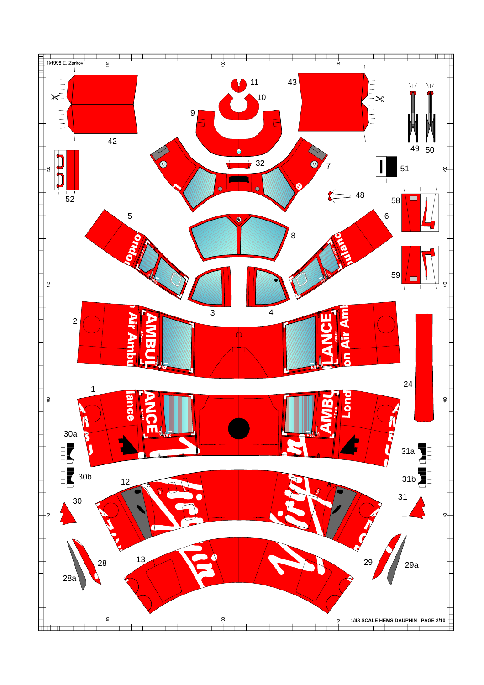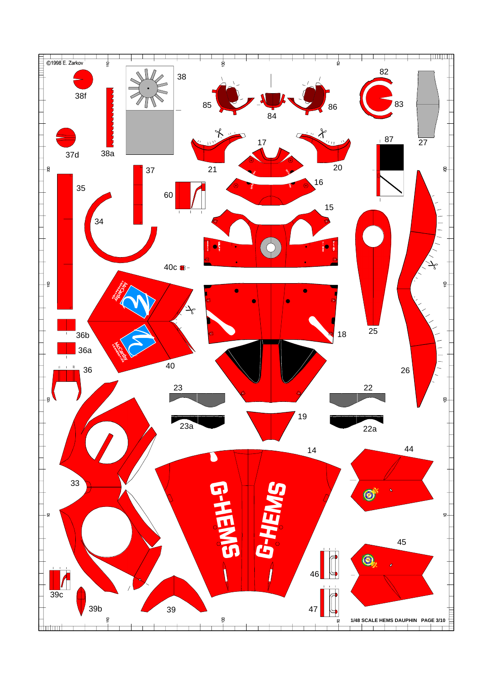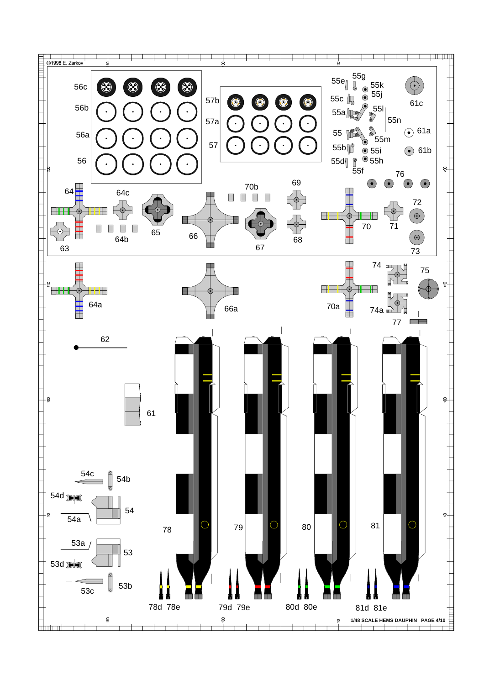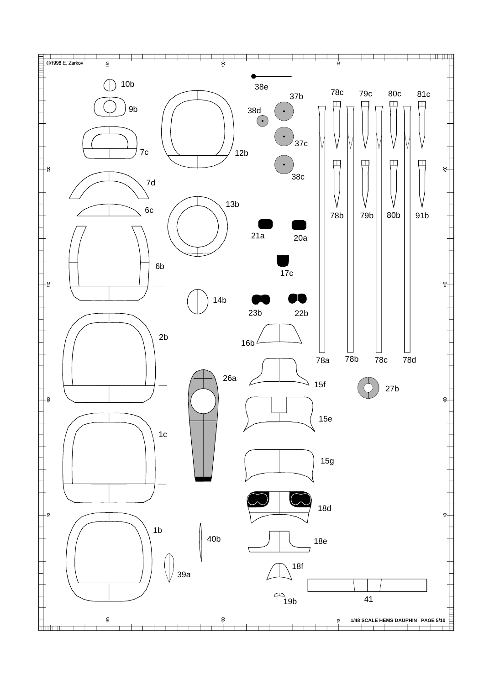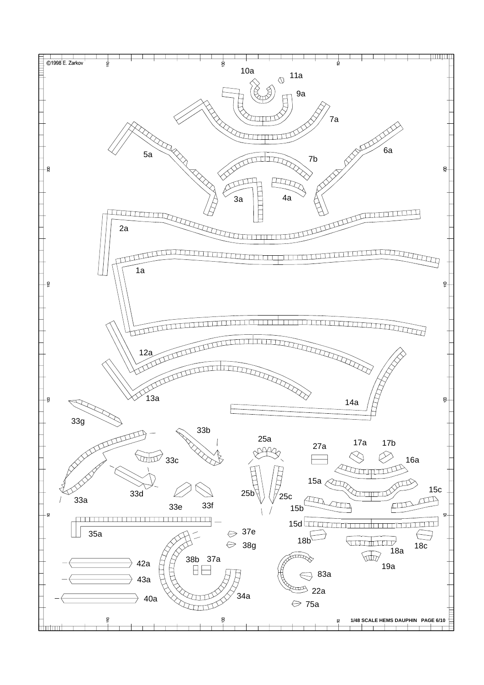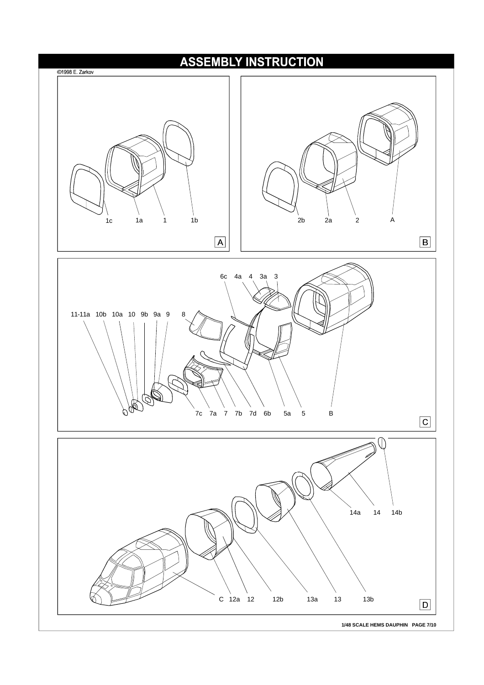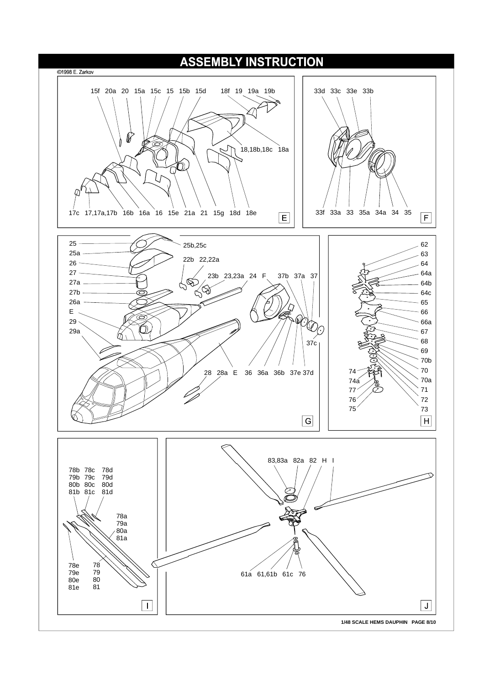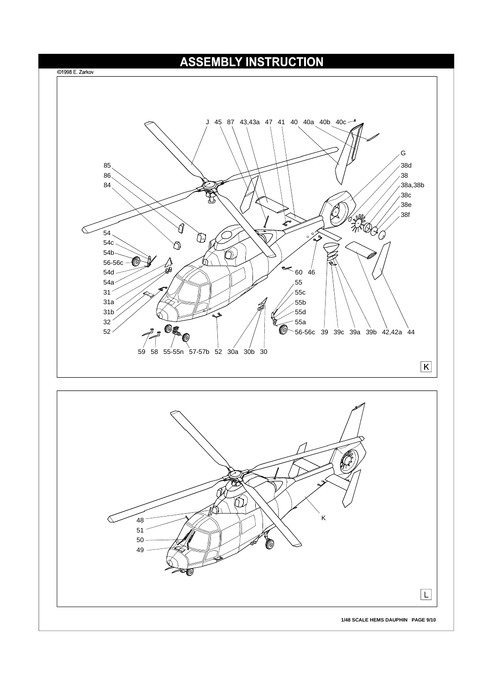